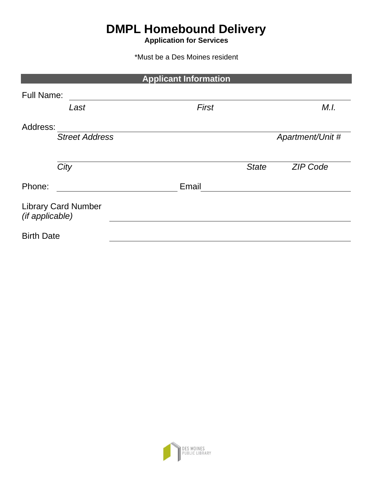# **DMPL Homebound Delivery**

**Application for Services**

\*Must be a Des Moines resident

|                                               | <b>Applicant Information</b> |                  |
|-----------------------------------------------|------------------------------|------------------|
| <b>Full Name:</b>                             |                              |                  |
| Last                                          | <b>First</b>                 | M.I.             |
| Address:                                      |                              |                  |
| <b>Street Address</b>                         |                              | Apartment/Unit # |
| City                                          | <b>State</b>                 | <b>ZIP Code</b>  |
| Phone:                                        | Email                        |                  |
| <b>Library Card Number</b><br>(if applicable) |                              |                  |
| <b>Birth Date</b>                             |                              |                  |

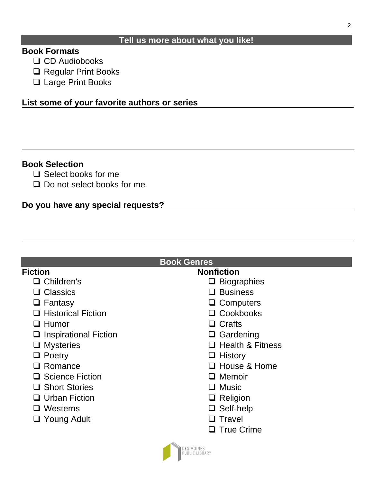#### **Tell us more about what you like!**

### **Book Formats**

- ❑ CD Audiobooks
- ❑ Regular Print Books
- ❑ Large Print Books

### **List some of your favorite authors or series**

### **Book Selection**

- ❑ Select books for me
- ❑ Do not select books for me

### **Do you have any special requests?**

### **Book Genres**

# **Fiction**

- ❑ Children's
- ❑ Classics
- ❑ Fantasy
- ❑ Historical Fiction
- ❑ Humor
- ❑ Inspirational Fiction
- ❑ Mysteries
- ❑ Poetry
- ❑ Romance
- ❑ Science Fiction
- ❑ Short Stories
- ❑ Urban Fiction
- ❑ Westerns
- ❑ Young Adult

## **Nonfiction**

- ❑ Biographies
- ❑ Business
- ❑ Computers
- ❑ Cookbooks
- ❑ Crafts
- ❑ Gardening
- ❑ Health & Fitness
- ❑ History
- ❑ House & Home
- ❑ Memoir
- ❑ Music
- ❑ Religion
- ❑ Self-help
- ❑ Travel
- ❑ True Crime